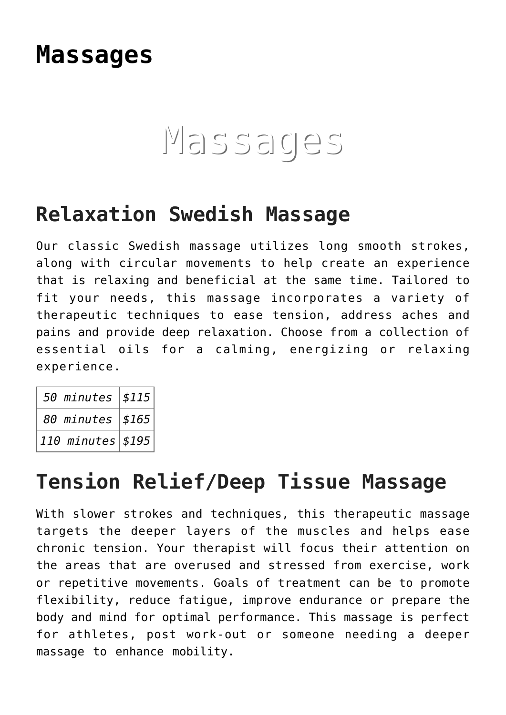# **[Massages](https://thegreenhousedayspa.com/massages/)**

# Massages

### **Relaxation Swedish Massage**

Our classic Swedish massage utilizes long smooth strokes, along with circular movements to help create an experience that is relaxing and beneficial at the same time. Tailored to fit your needs, this massage incorporates a variety of therapeutic techniques to ease tension, address aches and pains and provide deep relaxation. Choose from a collection of essential oils for a calming, energizing or relaxing experience.

| 50 minutes $ $115 $       |  |
|---------------------------|--|
| 80 minutes $ $165 $       |  |
| 110 minutes $ $ \$195 $ $ |  |

### **Tension Relief/Deep Tissue Massage**

With slower strokes and techniques, this therapeutic massage targets the deeper layers of the muscles and helps ease chronic tension. Your therapist will focus their attention on the areas that are overused and stressed from exercise, work or repetitive movements. Goals of treatment can be to promote flexibility, reduce fatigue, improve endurance or prepare the body and mind for optimal performance. This massage is perfect for athletes, post work-out or someone needing a deeper massage to enhance mobility.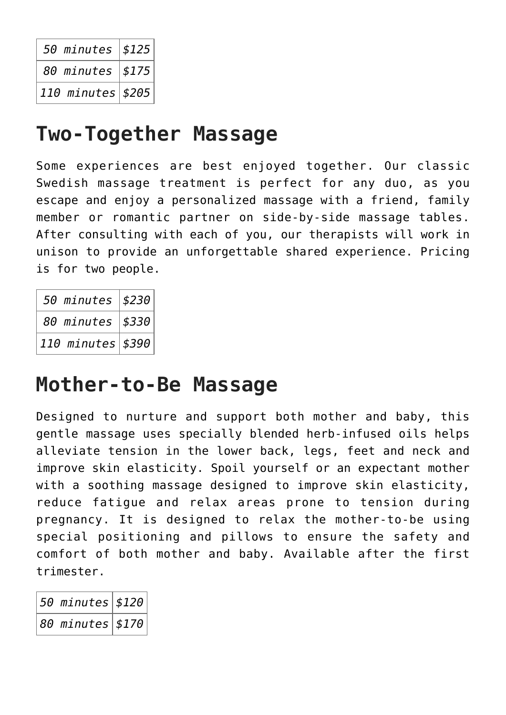| 50 minutes $ $125$  |  |
|---------------------|--|
| 80 minutes   \$175  |  |
| 110 minutes $ 205 $ |  |

### **Two-Together Massage**

Some experiences are best enjoyed together. Our classic Swedish massage treatment is perfect for any duo, as you escape and enjoy a personalized massage with a friend, family member or romantic partner on side-by-side massage tables. After consulting with each of you, our therapists will work in unison to provide an unforgettable shared experience. Pricing is for two people.

| 50 minutes   \$230 |  |
|--------------------|--|
| 80 minutes   \$330 |  |
| 110 minutes $$390$ |  |

# **Mother-to-Be Massage**

Designed to nurture and support both mother and baby, this gentle massage uses specially blended herb-infused oils helps alleviate tension in the lower back, legs, feet and neck and improve skin elasticity. Spoil yourself or an expectant mother with a soothing massage designed to improve skin elasticity, reduce fatigue and relax areas prone to tension during pregnancy. It is designed to relax the mother-to-be using special positioning and pillows to ensure the safety and comfort of both mother and baby. Available after the first trimester.

| $\vert$ 50 minutes $\vert$ \$120 $\vert$     |  |
|----------------------------------------------|--|
| $\big 8\theta$ minutes $\big $ \$170 $\big $ |  |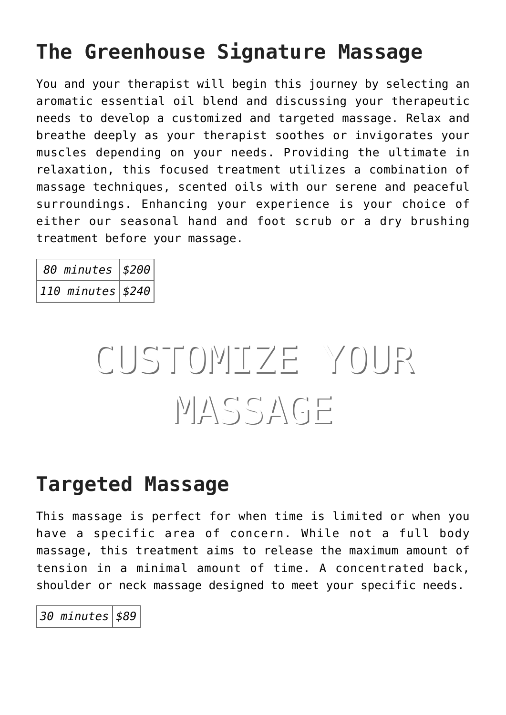# **The Greenhouse Signature Massage**

You and your therapist will begin this journey by selecting an aromatic essential oil blend and discussing your therapeutic needs to develop a customized and targeted massage. Relax and breathe deeply as your therapist soothes or invigorates your muscles depending on your needs. Providing the ultimate in relaxation, this focused treatment utilizes a combination of massage techniques, scented oils with our serene and peaceful surroundings. Enhancing your experience is your choice of either our seasonal hand and foot scrub or a dry brushing treatment before your massage.

| 80 minutes   \$200        |  |
|---------------------------|--|
| 110 minutes $ $ \$240 $ $ |  |

# CUSTOMIZE YOUR MASSAGE

### **Targeted Massage**

This massage is perfect for when time is limited or when you have a specific area of concern. While not a full body massage, this treatment aims to release the maximum amount of tension in a minimal amount of time. A concentrated back, shoulder or neck massage designed to meet your specific needs.

*30 minutes \$89*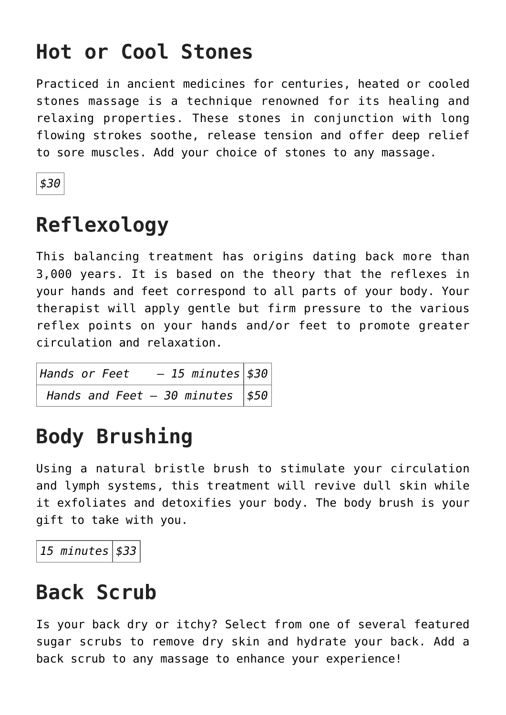# **Hot or Cool Stones**

Practiced in ancient medicines for centuries, heated or cooled stones massage is a technique renowned for its healing and relaxing properties. These stones in conjunction with long flowing strokes soothe, release tension and offer deep relief to sore muscles. Add your choice of stones to any massage.

*\$30*

# **Reflexology**

This balancing treatment has origins dating back more than 3,000 years. It is based on the theory that the reflexes in your hands and feet correspond to all parts of your body. Your therapist will apply gentle but firm pressure to the various reflex points on your hands and/or feet to promote greater circulation and relaxation.

*Hands or Feet – 15 minutes \$30 Hands and Feet - 30 minutes*  $| $50$ 

# **Body Brushing**

Using a natural bristle brush to stimulate your circulation and lymph systems, this treatment will revive dull skin while it exfoliates and detoxifies your body. The body brush is your gift to take with you.

*15 minutes \$33*

# **Back Scrub**

Is your back dry or itchy? Select from one of several featured sugar scrubs to remove dry skin and hydrate your back. Add a back scrub to any massage to enhance your experience!